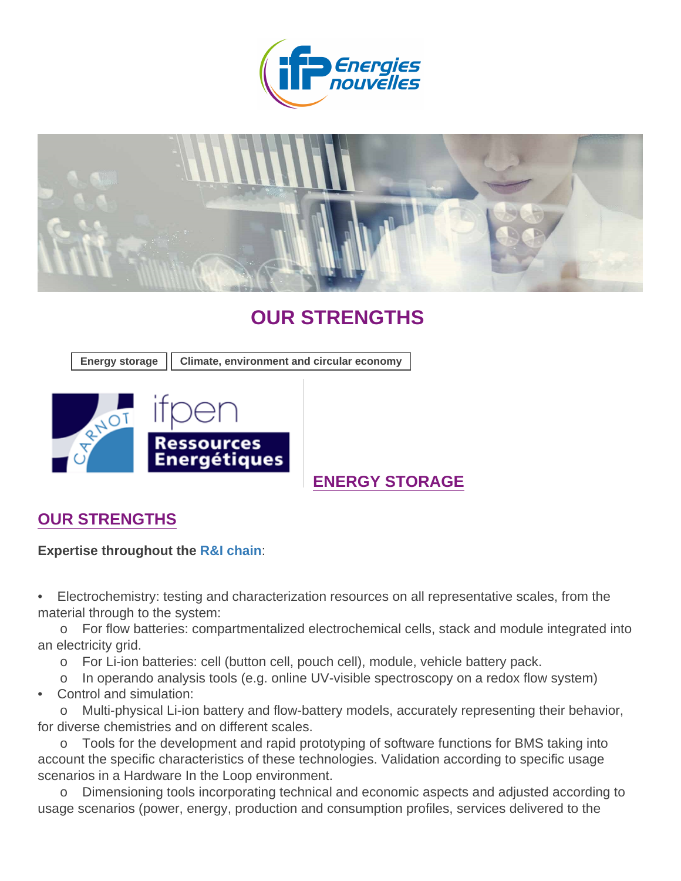# OUR STRENGTHS

|  |  | Energy storage   Climate, environment and circular economy |  |
|--|--|------------------------------------------------------------|--|
|--|--|------------------------------------------------------------|--|

### [E](https://www.ifpenergiesnouvelles.com/innovation-and-industry/support-innovative-smes-and-start-ups/ifpen-ressources-energetiques-carnot-institute)NERGY STORAGE

#### OUR STRENGTHS

Expertise throughout the [R&I chain](https://www.ifpenergiesnouvelles.com/fundamental-research/scientific-skills) :

• Electrochemistry: testing and characterization resources on all representative scales, from the material through to the system:

 o For flow batteries: compartmentalized electrochemical cells, stack and module integrated into an electricity grid.

o For Li-ion batteries: cell (button cell, pouch cell), module, vehicle battery pack.

o In operando analysis tools (e.g. online UV-visible spectroscopy on a redox flow system)

• Control and simulation:

 o Multi-physical Li-ion battery and flow-battery models, accurately representing their behavior, for diverse chemistries and on different scales.

 o Tools for the development and rapid prototyping of software functions for BMS taking into account the specific characteristics of these technologies. Validation according to specific usage scenarios in a Hardware In the Loop environment.

 o Dimensioning tools incorporating technical and economic aspects and adjusted according to usage scenarios (power, energy, production and consumption profiles, services delivered to the